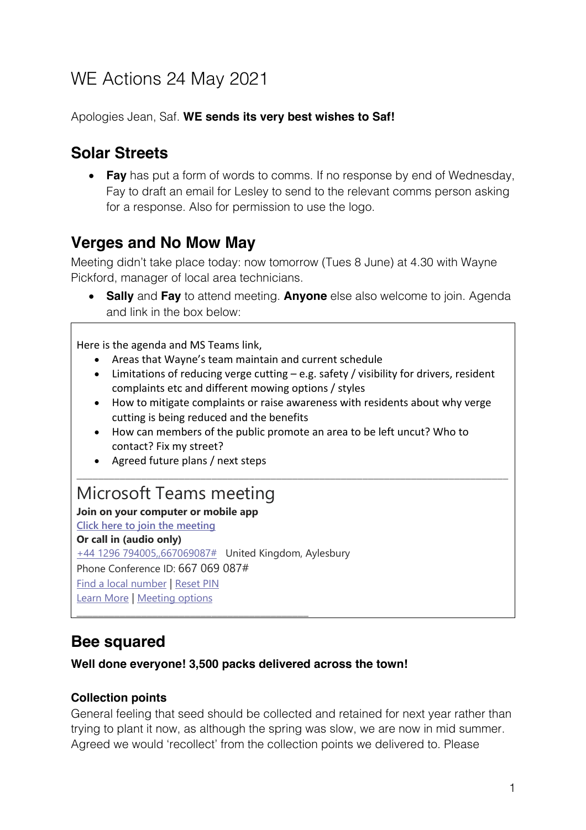# WE Actions 24 May 2021

Apologies Jean, Saf. **WE sends its very best wishes to Saf!** 

## **Solar Streets**

• **Fay** has put a form of words to comms. If no response by end of Wednesday, Fay to draft an email for Lesley to send to the relevant comms person asking for a response. Also for permission to use the logo.

### **Verges and No Mow May**

Meeting didn't take place today: now tomorrow (Tues 8 June) at 4.30 with Wayne Pickford, manager of local area technicians.

• **Sally** and **Fay** to attend meeting. **Anyone** else also welcome to join. Agenda and link in the box below:

Here is the agenda and MS Teams link,

- Areas that Wayne's team maintain and current schedule
- Limitations of reducing verge cutting e.g. safety / visibility for drivers, resident complaints etc and different mowing options / styles
- How to mitigate complaints or raise awareness with residents about why verge cutting is being reduced and the benefits

\_\_\_\_\_\_\_\_\_\_\_\_\_\_\_\_\_\_\_\_\_\_\_\_\_\_\_\_\_\_\_\_\_\_\_\_\_\_\_\_\_\_\_\_\_\_\_\_\_\_\_\_\_\_\_\_\_\_\_\_\_\_\_\_\_\_\_\_\_\_\_\_\_\_\_\_\_\_\_\_

- How can members of the public promote an area to be left uncut? Who to contact? Fix my street?
- Agreed future plans / next steps

### Microsoft Teams meeting

**Join on your computer or mobile app**

**Click here to join the meeting**

**Or call in (audio only)** +44 1296 794005,,667069087# United Kingdom, Aylesbury Phone Conference ID: 667 069 087# Find a local number | Reset PIN Learn More | Meeting options

\_\_\_\_\_\_\_\_\_\_\_\_\_\_\_\_\_\_\_\_\_\_\_\_\_\_\_\_\_\_\_\_\_\_\_\_\_\_\_\_\_\_\_

### **Bee squared**

#### **Well done everyone! 3,500 packs delivered across the town!**

#### **Collection points**

General feeling that seed should be collected and retained for next year rather than trying to plant it now, as although the spring was slow, we are now in mid summer. Agreed we would 'recollect' from the collection points we delivered to. Please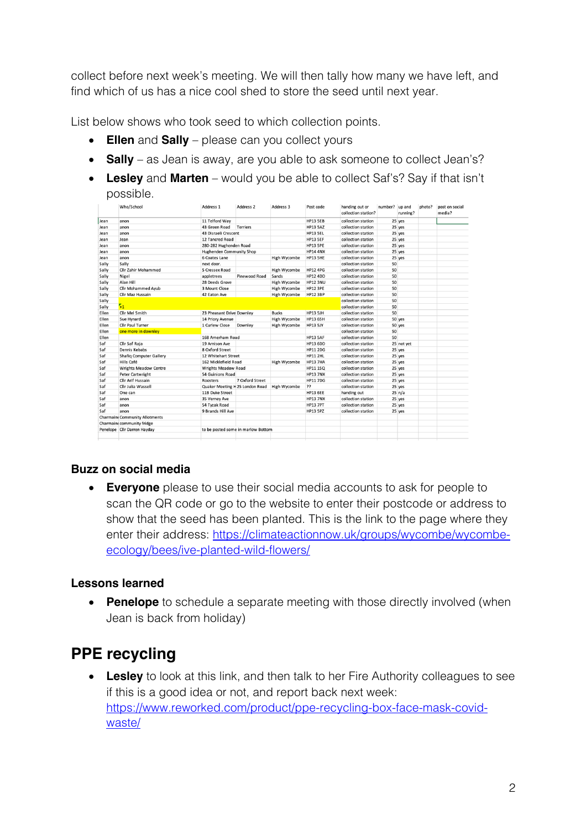collect before next week's meeting. We will then tally how many we have left, and find which of us has a nice cool shed to store the seed until next year.

List below shows who took seed to which collection points.

- **Ellen** and **Sally** please can you collect yours
- **Sally** as Jean is away, are you able to ask someone to collect Jean's?
- **Lesley** and **Marten** would you be able to collect Saf's? Say if that isn't possible.

|       | Who/School                            | Address 1                       | Address 2                          | Address 3    | Post code       | handing out or<br>collection station? | number? up and | running?   | photo? | post on social<br>media? |
|-------|---------------------------------------|---------------------------------|------------------------------------|--------------|-----------------|---------------------------------------|----------------|------------|--------|--------------------------|
| Jean  | anon                                  | 11 Telford Way                  |                                    |              | <b>HP13 5EB</b> | collection station                    |                | 25 yes     |        |                          |
| Jean  | anon                                  | 43 Green Road                   | <b>Terriers</b>                    |              | <b>HP13 5AZ</b> | collection station                    |                | 25 yes     |        |                          |
| Jean  | anon                                  | 43 Disraeli Crescent            |                                    |              | HP13 SEL        | collection station                    |                | 25 yes     |        |                          |
| Jean  | Jean                                  | 12 Tancred Road                 |                                    |              | HP13 5EF        | collection station                    |                | 25 yes     |        |                          |
| Jean  | anon                                  | 280-282 Hughenden Road          |                                    |              | HP13 5PE        | collection station                    |                | 25 yes     |        |                          |
| Jean  | anon                                  | Hughenden Community Shop        |                                    |              | <b>HP14 4NX</b> | collection station                    |                | 25 yes     |        |                          |
| Jean  | anon                                  | 6 Coates Lane                   |                                    | High Wycombe | HP13 5HE        | collection station                    |                | 25 yes     |        |                          |
| Sally | Sally                                 | next door.                      |                                    |              |                 | collection station                    | 50             |            |        |                          |
| Sally | <b>Cllr Zahir Mohammed</b>            | 5 Cressex Road                  |                                    | High Wycombe | <b>HP12 4PG</b> | collection station                    | 50             |            |        |                          |
| Sally | Nigel                                 | appletrees                      | Pinewood Road                      | Sands        | <b>HP12 4DD</b> | collection station                    | 50             |            |        |                          |
| Sally | Alan Hill                             | 28 Deeds Grove                  |                                    | High Wycombe | <b>HP12 3NU</b> | collection station                    | 50             |            |        |                          |
| Sally | <b>Cllr Mohammed Ayub</b>             | 3 Mount Close                   |                                    | High Wycombe | <b>HP12 3PE</b> | collection station                    | 50             |            |        |                          |
| Sally | Cllr Maz Hussain                      | 42 Eaton Ave                    |                                    | High Wycombe | <b>HP12 3BP</b> | collection station                    | 50             |            |        |                          |
| Sally |                                       |                                 |                                    |              |                 | collection station                    | 50             |            |        |                          |
| Sally | $\mathbf{z}_1$                        |                                 |                                    |              |                 | collection station                    | 50             |            |        |                          |
| Ellen | Cllr Mel Smith                        | 23 Pheasant Drive Downley       |                                    | <b>Bucks</b> | <b>HP13 5JH</b> | collection station                    | 50             |            |        |                          |
| Ellen | Sue Hynard                            | 14 Priory Avenue                |                                    | High Wycombe | <b>HP13 6SH</b> | collection station                    |                | 50 yes     |        |                          |
| Ellen | <b>Cllr Paul Turner</b>               | 1 Curlew Close                  | Downley                            | High Wycombe | <b>HP13 5JY</b> | collection station                    |                | 50 yes     |        |                          |
| Ellen | one more in downley                   |                                 |                                    |              |                 | collection station                    | 50             |            |        |                          |
| Ellen |                                       | 168 Amerham Road                |                                    |              | <b>HP13 5AF</b> | collection station                    | 50             |            |        |                          |
| Saf   | Cllr Saf Raja                         | 19 Arnison Ave                  |                                    |              | <b>HP13 6DD</b> | collection station                    |                | 25 not yet |        |                          |
| Saf   | Dennis Kebabs                         | 8 Oxford Street                 |                                    |              | <b>HP11 2DG</b> | collection station                    |                | 25 yes     |        |                          |
| Saf   | <b>Shafiq Computer Gallery</b>        | 12 Whitehart Street             |                                    |              | <b>HP11 2HL</b> | collection station                    |                | 25 yes     |        |                          |
| Saf   | Hills Café                            | 162 Micklefield Road            |                                    | High Wycombe | <b>HP13 7HA</b> | collection station                    |                | 25 yes     |        |                          |
| Saf   | <b>Wrights Meadow Centre</b>          | <b>Wrights Meadow Road</b>      |                                    |              | <b>HP11 1SQ</b> | collection station                    |                | 25 yes     |        |                          |
| Saf   | Peter Cartwright                      | 54 Guinions Road                |                                    |              | <b>HP13 7NX</b> | collection station                    |                | 25 yes     |        |                          |
| Saf   | Cllr Arif Hussain                     | Roosters                        | 7 Oxford Street                    |              | <b>HP11 7DG</b> | collection station                    |                | 25 yes     |        |                          |
| Saf   | Cllr Julia Wassell                    | Quaker Meeting H 25 London Road |                                    | High Wycombe | ??              | collection station                    |                | 25 yes     |        |                          |
| Saf   | One can                               | 11B Duke Street                 |                                    |              | <b>HP13 6EE</b> | handing out                           |                | 25 n/a     |        |                          |
| Saf   | anon                                  | 35 Verney Ave                   |                                    |              | <b>HP13 7NX</b> | collection station                    |                | 25 yes     |        |                          |
| Saf   | anon                                  | 54 Tyzak Road                   |                                    |              | <b>HP13 7PT</b> | collection station                    |                | 25 yes     |        |                          |
| Saf   | anon                                  | 9 Brands Hill Ave               |                                    |              | <b>HP13 5PZ</b> | collection station                    |                | 25 yes     |        |                          |
|       | <b>Charmaine Community Allotments</b> |                                 |                                    |              |                 |                                       |                |            |        |                          |
|       | Charmaine community fridge            |                                 |                                    |              |                 |                                       |                |            |        |                          |
|       | Penelope Cllr Darren Hayday           |                                 | to be posted some in marlow Bottom |              |                 |                                       |                |            |        |                          |

#### **Buzz on social media**

• **Everyone** please to use their social media accounts to ask for people to scan the QR code or go to the website to enter their postcode or address to show that the seed has been planted. This is the link to the page where they enter their address: https://climateactionnow.uk/groups/wycombe/wycombeecology/bees/ive-planted-wild-flowers/

#### **Lessons learned**

• **Penelope** to schedule a separate meeting with those directly involved (when Jean is back from holiday)

### **PPE recycling**

• **Lesley** to look at this link, and then talk to her Fire Authority colleagues to see if this is a good idea or not, and report back next week: https://www.reworked.com/product/ppe-recycling-box-face-mask-covidwaste/